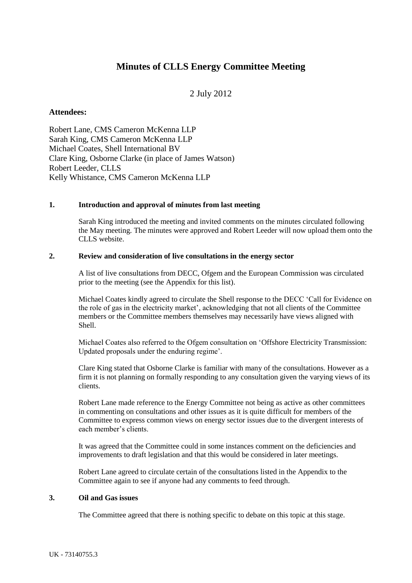# **Minutes of CLLS Energy Committee Meeting**

# 2 July 2012

## **Attendees:**

Robert Lane, CMS Cameron McKenna LLP Sarah King, CMS Cameron McKenna LLP Michael Coates, Shell International BV Clare King, Osborne Clarke (in place of James Watson) Robert Leeder, CLLS Kelly Whistance, CMS Cameron McKenna LLP

#### **1. Introduction and approval of minutes from last meeting**

Sarah King introduced the meeting and invited comments on the minutes circulated following the May meeting. The minutes were approved and Robert Leeder will now upload them onto the CLLS website.

#### **2. Review and consideration of live consultations in the energy sector**

A list of live consultations from DECC, Ofgem and the European Commission was circulated prior to the meeting (see the Appendix for this list).

Michael Coates kindly agreed to circulate the Shell response to the DECC 'Call for Evidence on the role of gas in the electricity market', acknowledging that not all clients of the Committee members or the Committee members themselves may necessarily have views aligned with Shell.

Michael Coates also referred to the Ofgem consultation on 'Offshore Electricity Transmission: Updated proposals under the enduring regime'.

Clare King stated that Osborne Clarke is familiar with many of the consultations. However as a firm it is not planning on formally responding to any consultation given the varying views of its clients.

Robert Lane made reference to the Energy Committee not being as active as other committees in commenting on consultations and other issues as it is quite difficult for members of the Committee to express common views on energy sector issues due to the divergent interests of each member's clients.

It was agreed that the Committee could in some instances comment on the deficiencies and improvements to draft legislation and that this would be considered in later meetings.

Robert Lane agreed to circulate certain of the consultations listed in the Appendix to the Committee again to see if anyone had any comments to feed through.

#### **3. Oil and Gas issues**

The Committee agreed that there is nothing specific to debate on this topic at this stage.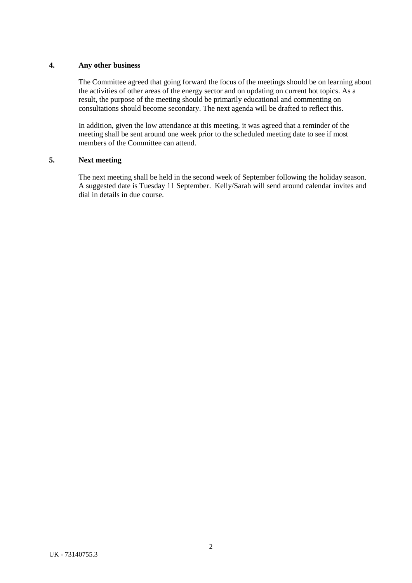### **4. Any other business**

The Committee agreed that going forward the focus of the meetings should be on learning about the activities of other areas of the energy sector and on updating on current hot topics. As a result, the purpose of the meeting should be primarily educational and commenting on consultations should become secondary. The next agenda will be drafted to reflect this.

In addition, given the low attendance at this meeting, it was agreed that a reminder of the meeting shall be sent around one week prior to the scheduled meeting date to see if most members of the Committee can attend.

### **5. Next meeting**

The next meeting shall be held in the second week of September following the holiday season. A suggested date is Tuesday 11 September. Kelly/Sarah will send around calendar invites and dial in details in due course.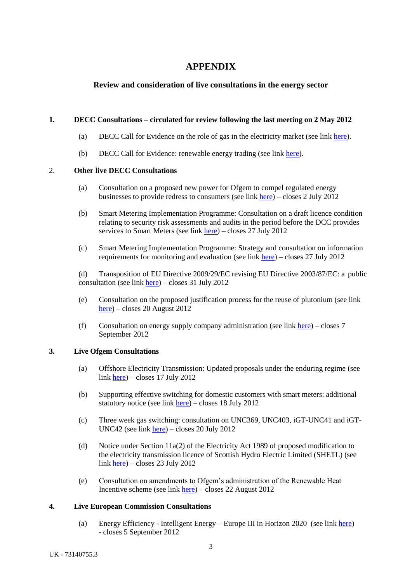# **APPENDIX**

# **Review and consideration of live consultations in the energy sector**

## **1. DECC Consultations – circulated for review following the last meeting on 2 May 2012**

- (a) DECC Call for Evidence on the role of gas in the electricity market (see link [here\)](http://www.decc.gov.uk/en/content/cms/consultations/gas_elec_mkt/gas_elec_mkt.aspx).
- (b) DECC Call for Evidence: renewable energy trading (see link [here\)](http://www.decc.gov.uk/en/content/cms/consultations/trading/trading.aspx).

### 2. **Other live DECC Consultations**

- (a) [Consultation on a proposed new power for Ofgem to compel regulated energy](http://www.decc.gov.uk/en/content/cms/consultations/ofgem_redress/ofgem_redress.aspx)  [businesses to provide redress to consumers](http://www.decc.gov.uk/en/content/cms/consultations/ofgem_redress/ofgem_redress.aspx) (see link [here\)](http://www.decc.gov.uk/en/content/cms/consultations/ofgem_redress/ofgem_redress.aspx) – closes 2 July 2012
- (b) [Smart Metering Implementation Programme: Consultation on a draft licence condition](http://www.decc.gov.uk/en/content/cms/consultations/smart_mtr_sec/smart_mtr_sec.aspx)  [relating to security risk assessments and audits in the period before the DCC provides](http://www.decc.gov.uk/en/content/cms/consultations/smart_mtr_sec/smart_mtr_sec.aspx)  [services to Smart Meters](http://www.decc.gov.uk/en/content/cms/consultations/smart_mtr_sec/smart_mtr_sec.aspx) (see link [here\)](http://www.decc.gov.uk/en/content/cms/consultations/smart_mtr_sec/smart_mtr_sec.aspx) – closes 27 July 2012
- (c) [Smart Metering Implementation Programme: Strategy and consultation on information](http://www.decc.gov.uk/en/content/cms/consultations/sm_evaluation/sm_evaluation.aspx)  [requirements for monitoring and evaluation](http://www.decc.gov.uk/en/content/cms/consultations/sm_evaluation/sm_evaluation.aspx) (see link [here\)](http://www.decc.gov.uk/en/content/cms/consultations/sm_evaluation/sm_evaluation.aspx) – closes 27 July 2012

(d) [Transposition of EU Directive 2009/29/EC revising EU Directive 2003/87/EC: a public](http://www.decc.gov.uk/en/content/cms/consultations/trans_eu_dir/trans_eu_dir.aspx)  [consultation](http://www.decc.gov.uk/en/content/cms/consultations/trans_eu_dir/trans_eu_dir.aspx) (see link [here\)](http://www.decc.gov.uk/en/content/cms/consultations/trans_eu_dir/trans_eu_dir.aspx) – closes 31 July 2012

- (e) [Consultation on the proposed justification process for the reuse of plutonium](http://www.decc.gov.uk/en/content/cms/consultations/pluto_reuse/pluto_reuse.aspx) (see link [here\)](http://www.decc.gov.uk/en/content/cms/consultations/pluto_reuse/pluto_reuse.aspx) – closes 20 August 2012
- (f) [Consultation on energy supply company administration](http://www.decc.gov.uk/en/content/cms/consultations/en_sup_rules/en_sup_rules.aspx) (see link [here\)](http://www.decc.gov.uk/en/content/cms/consultations/en_sup_rules/en_sup_rules.aspx) closes 7 September 2012

#### **3. Live Ofgem Consultations**

- (a) Offshore Electricity Transmission: Updated proposals under the enduring regime (see link [here\)](http://www.ofgem.gov.uk/Pages/MoreInformation.aspx?file=Enduring%20con%20doc%20May%2012.pdf&refer=Networks/offtrans/pdc/cdr/2012) – closes 17 July 2012
- (b) Supporting effective switching for domestic customers with smart meters: additional statutory notice (see link [here\)](http://www.ofgem.gov.uk/Pages/MoreInformation.aspx?file=Supporting%20effective%20switching%20for%20domestic%20customers%20with%20smart%20meters%20additional%20statutory%20notice.pdf&refer=Markets/sm/metering/sm) – closes 18 July 2012
- (c) Three week gas switching: consultation on UNC369, UNC403, iGT-UNC41 and iGT-UNC42 (see link [here\)](http://www.ofgem.gov.uk/Pages/MoreInformation.aspx?file=Three-week%20gas%20switching-%20consultation%20on%20UNC396%20UNC403%20iGT-UNC41%20and%20iGT-UNC42-%20Final.pdf&refer=Markets/sm/strategy) – closes 20 July 2012
- (d) Notice under Section 11a(2) of the Electricity Act 1989 of proposed modification to the electricity transmission licence of Scottish Hydro Electric Limited (SHETL) (see link [here\)](file:///C:/Users/Robert/AppData/Local/Microsoft/Windows/Temporary%20Internet%20Files/Content.Outlook/3SIY7FYC/(a)%09http:/www.ofgem.gov.uk/Pages/MoreInformation.aspx%3ffile=Sloy%20Modification%20Notice%2011-06-2012.pdf&refer=Networks/Trans/ElecTransPolicy/CriticalInvestments/TIRG) – closes 23 July 2012
- (e) Consultation on amendments to Ofgem's administration of the Renewable Heat Incentive scheme (see link [here\)](http://www.ofgem.gov.uk/Pages/MoreInformation.aspx?file=Consultation%20on%20amendments%20to%20Ofgem%22s%20administration%20of%20the%20Renewable%20Heat%20Incentive%20scheme.pdf&refer=e-serve/RHI) – closes 22 August 2012

#### **4. Live European Commission Consultations**

(a) Energy Efficiency - Intelligent Energy – Europe III in Horizon 2020 (see link [here\)](http://ec.europa.eu/energy/efficiency/consultations/iee3_in_horizon_2020_en.htm) - closes 5 September 2012